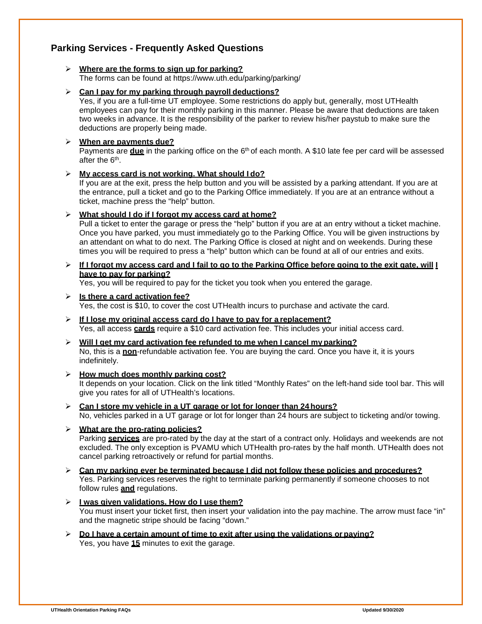# **Parking Services - Frequently Asked Questions**

#### **Where are the forms to sign up for parking?**

The forms can be found at [https://www.uth.edu/parking/parking/](http://www.uth.edu/parking/parking/)

#### **Can I pay for my parking through payroll deductions?**

Yes, if you are a full-time UT employee. Some restrictions do apply but, generally, most UTHealth employees can pay for their monthly parking in this manner. Please be aware that deductions are taken two weeks in advance. It is the responsibility of the parker to review his/her paystub to make sure the deductions are properly being made.

#### **When are payments due?**

Payments are **due** in the parking office on the 6<sup>th</sup> of each month. A \$10 late fee per card will be assessed after the 6<sup>th</sup>.

#### **My access card is not working. What should I do?**

If you are at the exit, press the help button and you will be assisted by a parking attendant. If you are at the entrance, pull a ticket and go to the Parking Office immediately. If you are at an entrance without a ticket, machine press the "help" button.

#### **What should I do if I forgot my access card at home?**

Pull a ticket to enter the garage or press the "help" button if you are at an entry without a ticket machine. Once you have parked, you must immediately go to the Parking Office. You will be given instructions by an attendant on what to do next. The Parking Office is closed at night and on weekends. During these times you will be required to press a "help" button which can be found at all of our entries and exits.

#### $\triangleright$  If I forgot my access card and I fail to go to the Parking Office before going to the exit gate, will I **have to pay for parking?**

Yes, you will be required to pay for the ticket you took when you entered the garage.

#### **Is there a card activation fee?**

Yes, the cost is \$10, to cover the cost UTHealth incurs to purchase and activate the card.

- **If I lose my original access card do I have to pay for a replacement?** Yes, all access **cards** require a \$10 card activation fee. This includes your initial access card.
- **Will I get my card activation fee refunded to me when I cancel my parking?** No, this is a **non**-refundable activation fee. You are buying the card. Once you have it, it is yours indefinitely.
- **How much does monthly parking cost?** It depends on your location. Click on the link titled "Monthly Rates" on the left-hand side tool bar. This will give you rates for all of UTHealth's locations.
- **Can I store my vehicle in a UT garage or lot for longer than 24 hours?** No, vehicles parked in a UT garage or lot for longer than 24 hours are subject to ticketing and/or towing.
- **What are the pro-rating policies?** Parking **services** are pro-rated by the day at the start of a contract only. Holidays and weekends are not excluded. The only exception is PVAMU which UTHealth pro-rates by the half month. UTHealth does not cancel parking retroactively or refund for partial months.
- **Can my parking ever be terminated because I did not follow these policies and procedures?** Yes. Parking services reserves the right to terminate parking permanently if someone chooses to not follow rules **and** regulations.
- **I was given validations. How do I use them?** You must insert your ticket first, then insert your validation into the pay machine. The arrow must face "in" and the magnetic stripe should be facing "down."
- **Do I have a certain amount of time to exit after using the validations or paying?** Yes, you have **15** minutes to exit the garage.